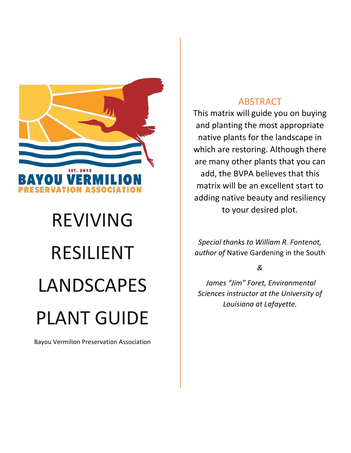

## REVIVING RESILIENT LANDSCAPES PLANT GUIDE

Bayou Vermilion Preservation Association

## ABSTRACT

This matrix will guide you on buying and planting the most appropriate native plants for the landscape in which are restoring. Although there are many other plants that you can add, the BVPA believes that this matrix will be an excellent start to adding native beauty and resiliency to your desired plot.

*Special thanks to William R. Fontenot, author of* Native Gardening in the South

*&*

*James "Jim" Foret, Environmental Sciences instructor at the University of Louisiana at Lafayette.*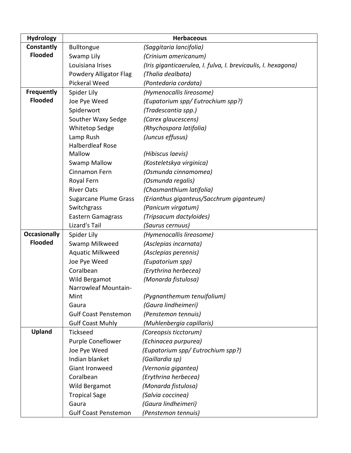| <b>Hydrology</b>    |                              | <b>Herbaceous</b>                                             |
|---------------------|------------------------------|---------------------------------------------------------------|
| Constantly          | <b>Bulltongue</b>            | (Saggitaria lancifolia)                                       |
| <b>Flooded</b>      | Swamp Lily                   | (Crinium americanum)                                          |
|                     | Louisiana Irises             | (Iris giganticaerulea, I. fulva, I. brevicaulis, I. hexagona) |
|                     | Powdery Alligator Flag       | (Thalia dealbata)                                             |
|                     | <b>Pickeral Weed</b>         | (Pontedaria cordata)                                          |
| <b>Frequently</b>   | Spider Lily                  | (Hymenocallis lireosome)                                      |
| <b>Flooded</b>      | Joe Pye Weed                 | (Eupatorium spp/ Eutrochium spp?)                             |
|                     | Spiderwort                   | (Tradescantia spp.)                                           |
|                     | Souther Waxy Sedge           | (Carex glaucescens)                                           |
|                     | Whitetop Sedge               | (Rhychospora latifolia)                                       |
|                     | Lamp Rush                    | (Juncus effusus)                                              |
|                     | <b>Halberdleaf Rose</b>      |                                                               |
|                     | Mallow                       | (Hibiscus laevis)                                             |
|                     | <b>Swamp Mallow</b>          | (Kosteletskya virginica)                                      |
|                     | Cinnamon Fern                | (Osmunda cinnamomea)                                          |
|                     | Royal Fern                   | (Osmunda regalis)                                             |
|                     | <b>River Oats</b>            | (Chasmanthium latifolia)                                      |
|                     | <b>Sugarcane Plume Grass</b> | (Erianthus giganteus/Sacchrum giganteum)                      |
|                     | Switchgrass                  | (Panicum virgatum)                                            |
|                     | <b>Eastern Gamagrass</b>     | (Tripsacum dactyloides)                                       |
|                     | Lizard's Tail                | (Saurus cernuus)                                              |
| <b>Occasionally</b> | Spider Lily                  | (Hymenocallis lireosome)                                      |
| <b>Flooded</b>      | Swamp Milkweed               | (Asclepias incarnata)                                         |
|                     | <b>Aquatic Milkweed</b>      | (Asclepias perennis)                                          |
|                     | Joe Pye Weed                 | (Eupatorium spp)                                              |
|                     | Coralbean                    | (Erythrina herbecea)                                          |
|                     | Wild Bergamot                | (Monarda fistulosa)                                           |
|                     | Narrowleaf Mountain-         |                                                               |
|                     | Mint                         | (Pygnanthemum tenuifolium)                                    |
|                     | Gaura                        | (Gaura lindheimeri)                                           |
|                     | <b>Gulf Coast Penstemon</b>  | (Penstemon tennuis)                                           |
|                     | <b>Gulf Coast Muhly</b>      | (Muhlenbergia capillaris)                                     |
| Upland              | <b>Tickseed</b>              | (Coreopsis ticctorum)                                         |
|                     | Purple Coneflower            | (Echinacea purpurea)                                          |
|                     | Joe Pye Weed                 | (Eupatorium spp/ Eutrochium spp?)                             |
|                     | Indian blanket               | (Gaillardia sp)                                               |
|                     | Giant Ironweed               | (Vernonia gigantea)                                           |
|                     | Coralbean                    | (Erythrina herbecea)                                          |
|                     | Wild Bergamot                | (Monarda fistulosa)                                           |
|                     | <b>Tropical Sage</b>         | (Salvia coccinea)                                             |
|                     | Gaura                        | (Gaura lindheimeri)                                           |
|                     | <b>Gulf Coast Penstemon</b>  | (Penstemon tennuis)                                           |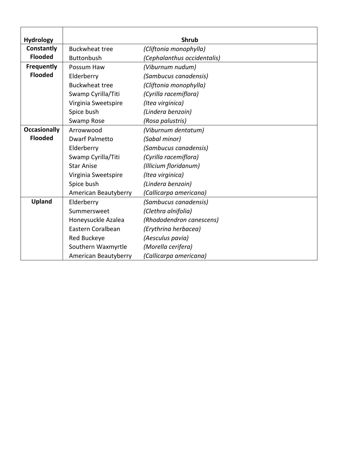| <b>Hydrology</b>    |                       | <b>Shrub</b>                |
|---------------------|-----------------------|-----------------------------|
| Constantly          | <b>Buckwheat tree</b> | (Cliftonia monophylla)      |
| <b>Flooded</b>      | <b>Buttonbush</b>     | (Cephalanthus occidentalis) |
| <b>Frequently</b>   | Possum Haw            | (Viburnum nudum)            |
| <b>Flooded</b>      | Elderberry            | (Sambucus canadensis)       |
|                     | <b>Buckwheat tree</b> | (Cliftonia monophylla)      |
|                     | Swamp Cyrilla/Titi    | (Cyrilla racemiflora)       |
|                     | Virginia Sweetspire   | (Itea virginica)            |
|                     | Spice bush            | (Lindera benzoin)           |
|                     | Swamp Rose            | (Rosa palustris)            |
| <b>Occasionally</b> | Arrowwood             | (Viburnum dentatum)         |
| <b>Flooded</b>      | <b>Dwarf Palmetto</b> | (Sabal minor)               |
|                     | Elderberry            | (Sambucus canadensis)       |
|                     | Swamp Cyrilla/Titi    | (Cyrilla racemiflora)       |
|                     | <b>Star Anise</b>     | (Illicium floridanum)       |
|                     | Virginia Sweetspire   | (Itea virginica)            |
|                     | Spice bush            | (Lindera benzoin)           |
|                     | American Beautyberry  | (Callicarpa americana)      |
| Upland              | Elderberry            | (Sambucus canadensis)       |
|                     | Summersweet           | (Clethra alnifolia)         |
|                     | Honeysuckle Azalea    | (Rhododendron canescens)    |
|                     | Eastern Coralbean     | (Erythrina herbacea)        |
|                     | <b>Red Buckeye</b>    | (Aesculus pavia)            |
|                     | Southern Waxmyrtle    | (Morella cerifera)          |
|                     | American Beautyberry  | (Callicarpa americana)      |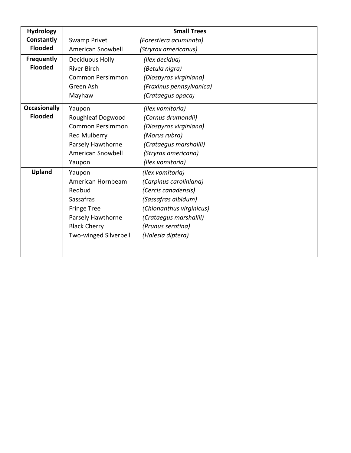| <b>Hydrology</b>    |                         | <b>Small Trees</b>       |
|---------------------|-------------------------|--------------------------|
| Constantly          | Swamp Privet            | (Forestiera acuminata)   |
| <b>Flooded</b>      | American Snowbell       | (Stryrax americanus)     |
| Frequently          | Deciduous Holly         | (Ilex decidua)           |
| <b>Flooded</b>      | <b>River Birch</b>      | (Betula nigra)           |
|                     | <b>Common Persimmon</b> | (Diospyros virginiana)   |
|                     | Green Ash               | (Fraxinus pennsylvanica) |
|                     | Mayhaw                  | (Crataegus opaca)        |
| <b>Occasionally</b> | Yaupon                  | (Ilex vomitoria)         |
| <b>Flooded</b>      | Roughleaf Dogwood       | (Cornus drumondii)       |
|                     | <b>Common Persimmon</b> | (Diospyros virginiana)   |
|                     | Red Mulberry            | (Morus rubra)            |
|                     | Parsely Hawthorne       | (Crataegus marshallii)   |
|                     | American Snowbell       | (Stryrax americana)      |
|                     | Yaupon                  | (Ilex vomitoria)         |
| <b>Upland</b>       | Yaupon                  | (Ilex vomitoria)         |
|                     | American Hornbeam       | (Carpinus caroliniana)   |
|                     | Redbud                  | (Cercis canadensis)      |
|                     | <b>Sassafras</b>        | (Sassafras albidum)      |
|                     | <b>Fringe Tree</b>      | (Chionanthus virginicus) |
|                     | Parsely Hawthorne       | (Crataegus marshallii)   |
|                     | <b>Black Cherry</b>     | (Prunus serotina)        |
|                     | Two-winged Silverbell   | (Halesia diptera)        |
|                     |                         |                          |
|                     |                         |                          |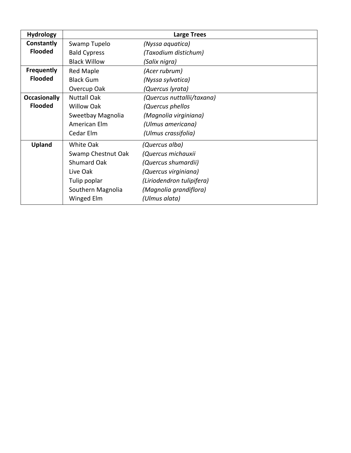| <b>Hydrology</b>    |                     | <b>Large Trees</b>         |
|---------------------|---------------------|----------------------------|
| Constantly          | Swamp Tupelo        | (Nyssa aquatica)           |
| <b>Flooded</b>      | <b>Bald Cypress</b> | (Taxodium distichum)       |
|                     | <b>Black Willow</b> | (Salix nigra)              |
| <b>Frequently</b>   | <b>Red Maple</b>    | (Acer rubrum)              |
| <b>Flooded</b>      | <b>Black Gum</b>    | (Nyssa sylvatica)          |
|                     | Overcup Oak         | (Quercus lyrata)           |
| <b>Occasionally</b> | <b>Nuttall Oak</b>  | (Quercus nuttallii/taxana) |
| <b>Flooded</b>      | <b>Willow Oak</b>   | (Quercus phellos           |
|                     | Sweetbay Magnolia   | (Magnolia virginiana)      |
|                     | American Elm        | (Ulmus americana)          |
|                     | Cedar Elm           | (Ulmus crassifolia)        |
| <b>Upland</b>       | White Oak           | (Quercus alba)             |
|                     | Swamp Chestnut Oak  | (Quercus michauxii         |
|                     | <b>Shumard Oak</b>  | (Quercus shumardii)        |
|                     | Live Oak            | (Quercus virginiana)       |
|                     | Tulip poplar        | (Liriodendron tulipifera)  |
|                     | Southern Magnolia   | (Magnolia grandiflora)     |
|                     | Winged Elm          | (Ulmus alata)              |